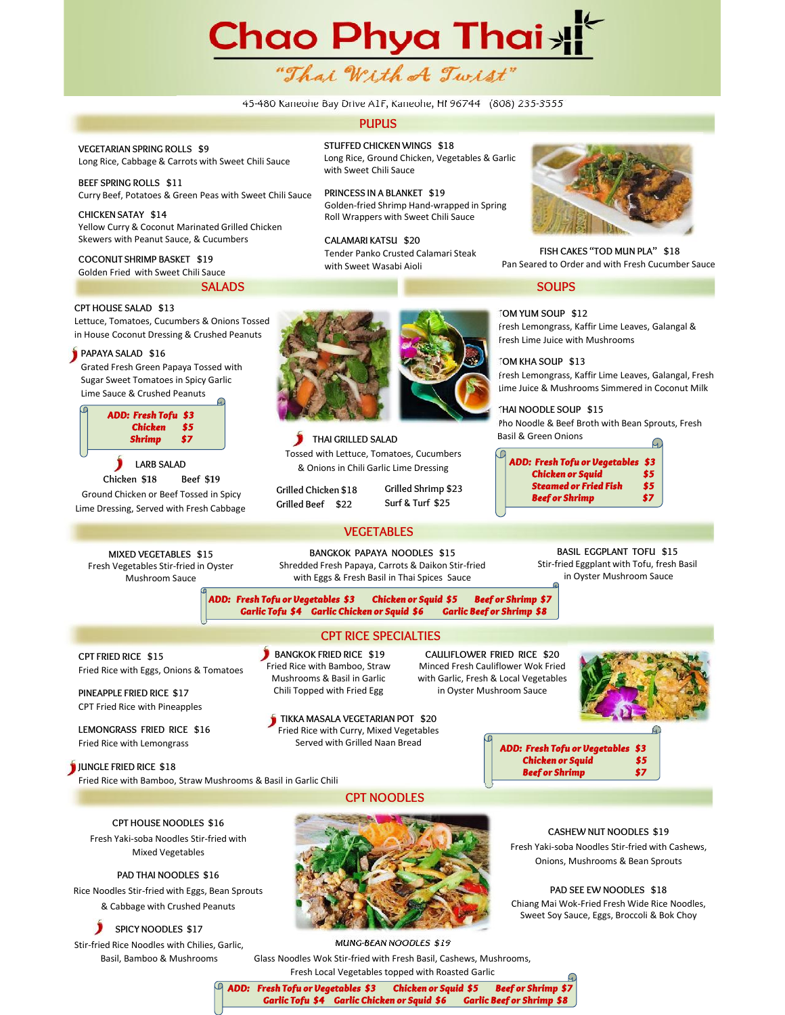# Chao Phya Thai <sub>></sub> "Thai With A Twist"

# 45-480 Kaneohe Bay Drive A1F, Kaneohe, HI 96744 (808) 235-3555

# **PUPUS**

**VEGETARIAN SPRING ROLLS \$9** Long Rice, Cabbage & Carrots with Sweet Chili Sauce

**BEEF SPRING ROLLS \$11** Curry Beef, Potatoes & Green Peas with Sweet Chili Sauce

**CHICKEN SATAY \$14** Yellow Curry & Coconut Marinated Grilled Chicken Skewers with Peanut Sauce, & Cucumbers

**COCONUT SHRIMP BASKET \$19** Golden Fried with Sweet Chili Sauce

Lettuce, Tomatoes, Cucumbers & Onions Tossed in House Coconut Dressing & Crushed Peanuts

Grated Fresh Green Papaya Tossed with Sugar Sweet Tomatoes in Spicy Garlic Lime Sauce & Crushed Peanuts

**CPT HOUSE SALAD \$13**

**PAPAYA SALAD \$16**

**SALADS SOUPS** SALADS SOUPS

**STUFFED CHICKEN WINGS \$18** Long Rice, Ground Chicken, Vegetables & Garlic with Sweet Chili Sauce

**PRINCESS IN A BLANKET \$19** Golden-fried Shrimp Hand-wrapped in Spring Roll Wrappers with Sweet Chili Sauce

**CALAMARI KATSU \$20** Tender Panko Crusted Calamari Steak with Sweet Wasabi Aioli



**FISH CAKES "TOD MUN PLA" \$18** Pan Seared to Order and with Fresh Cucumber Sauce

**TOM YUM SOUP \$12** Fresh Lemongrass, Kaffir Lime Leaves, Galangal & Fresh Lime Juice with Mushrooms

**TOM KHA SOUP \$13** Fresh Lemongrass, Kaffir Lime Leaves, Galangal, Fresh Lime Juice & Mushrooms Simmered in Coconut Milk

**THAI NOODLE SOUP \$15** Pho Noodle & Beef Broth with Bean Sprouts, Fresh Basil & Green Onions

*ADD: Fresh Tofu or Vegetables \$3 Chicken orSquid \$5 Steamed or Fried Fish \$5 Beef or Shrimp \$7*

Lime Dressing, Served with Fresh Cabbage

Fried Rice with Bamboo, Straw Mushrooms & Basil in Garlic Chili

**MIXED VEGETABLES \$15** Fresh Vegetables Stir-fried in Oyster Mushroom Sauce

Fried Rice with Eggs, Onions & Tomatoes

**CPT FRIED RICE \$15**

**PINEAPPLE FRIED RICE \$17** CPT Fried Rice with Pineapples **LEMONGRASS FRIED RICE \$16** Fried Rice with Lemongrass **JUNGLE FRIED RICE \$18** 

**LARB SALAD Chicken \$18 Beef \$19** Ground Chicken or Beef Tossed in Spicy

*Chicken \$5 Shrimp \$7*

*ADD: Fresh Tofu \$3*



**THAI GRILLED SALAD** Tossed with Lettuce, Tomatoes, Cucumbers & Onions in Chili Garlic Lime Dressing

**Grilled Chicken \$18 Grilled Beef \$22 Grilled Shrimp \$23 Surf & Turf \$25**

# **VEGETABLES**

**BANGKOK PAPAYA NOODLES \$15** Shredded Fresh Papaya, Carrots & Daikon Stir-fried with Eggs & Fresh Basil in Thai Spices Sauce

**BASIL EGGPLANT TOFU \$15** Stir-fried Eggplant with Tofu, fresh Basil in Oyster Mushroom Sauce

*ADD: Fresh Tofu or Vegetables \$3 Chicken or Squid \$5 Beef or Shrimp \$7 Garlic Tofu \$4 Garlic Chicken or Squid \$6 Garlic Beef or Shrimp \$8*

# CPT RICE SPECIALTIES

**BANGKOK FRIED RICE \$19** Fried Rice with Bamboo, Straw Mushrooms & Basil in Garlic Chili Topped with Fried Egg

**CAULIFLOWER FRIED RICE \$20** Minced Fresh Cauliflower Wok Fried with Garlic, Fresh & Local Vegetables in Oyster Mushroom Sauce



**TIKKA MASALA VEGETARIAN POT \$20** Fried Rice with Curry, Mixed Vegetables Served with Grilled Naan Bread

*ADD: Fresh Tofu or Vegetables \$3*

*Chicken or Squid \$5 Beef or Shrimp \$7*

**CPT HOUSE NOODLES \$16** Fresh Yaki-soba Noodles Stir-fried with Mixed Vegetables

**PAD THAI NOODLES \$16** Rice Noodles Stir-fried with Eggs, Bean Sprouts & Cabbage with Crushed Peanuts

**SPICY NOODLES \$17**

Stir-fried Rice Noodles with Chilies, Garlic, Basil, Bamboo & Mushrooms



CPT NOODLES

**CASHEW NUT NOODLES \$19** Fresh Yaki-soba Noodles Stir-fried with Cashews, Onions, Mushrooms & Bean Sprouts

**PAD SEE EW NOODLES \$18** Chiang Mai Wok-Fried Fresh Wide Rice Noodles, Sweet Soy Sauce, Eggs, Broccoli & Bok Choy

**MUNG-BEAN NOODLES \$19** Glass Noodles Wok Stir-fried with Fresh Basil, Cashews, Mushrooms, Fresh Local Vegetables topped with Roasted Garlic

*ADD: Fresh Tofu or Vegetables \$3 Chicken or Squid \$5 Beef or Shrimp \$7 Garlic Tofu \$4 Garlic Chicken or Squid \$6 Garlic Beef or Shrimp \$8*